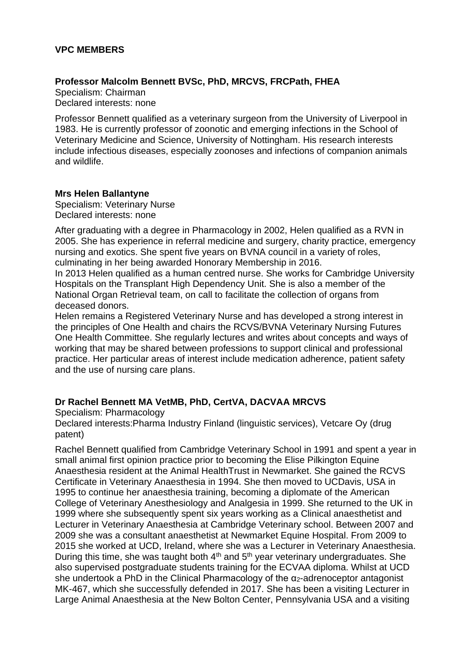### **VPC MEMBERS**

### **Professor Malcolm Bennett BVSc, PhD, MRCVS, FRCPath, FHEA**

Specialism: Chairman Declared interests: none

Professor Bennett qualified as a veterinary surgeon from the University of Liverpool in 1983. He is currently professor of zoonotic and emerging infections in the School of Veterinary Medicine and Science, University of Nottingham. His research interests include infectious diseases, especially zoonoses and infections of companion animals and wildlife.

#### **Mrs Helen Ballantyne**

Specialism: Veterinary Nurse Declared interests: none

After graduating with a degree in Pharmacology in 2002, Helen qualified as a RVN in 2005. She has experience in referral medicine and surgery, charity practice, emergency nursing and exotics. She spent five years on BVNA council in a variety of roles, culminating in her being awarded Honorary Membership in 2016.

In 2013 Helen qualified as a human centred nurse. She works for Cambridge University Hospitals on the Transplant High Dependency Unit. She is also a member of the National Organ Retrieval team, on call to facilitate the collection of organs from deceased donors.

Helen remains a Registered Veterinary Nurse and has developed a strong interest in the principles of One Health and chairs the RCVS/BVNA Veterinary Nursing Futures One Health Committee. She regularly lectures and writes about concepts and ways of working that may be shared between professions to support clinical and professional practice. Her particular areas of interest include medication adherence, patient safety and the use of nursing care plans.

# **Dr Rachel Bennett MA VetMB, PhD, CertVA, DACVAA MRCVS**

Specialism: Pharmacology

Declared interests:Pharma Industry Finland (linguistic services), Vetcare Oy (drug patent)

Rachel Bennett qualified from Cambridge Veterinary School in 1991 and spent a year in small animal first opinion practice prior to becoming the Elise Pilkington Equine Anaesthesia resident at the Animal HealthTrust in Newmarket. She gained the RCVS Certificate in Veterinary Anaesthesia in 1994. She then moved to UCDavis, USA in 1995 to continue her anaesthesia training, becoming a diplomate of the American College of Veterinary Anesthesiology and Analgesia in 1999. She returned to the UK in 1999 where she subsequently spent six years working as a Clinical anaesthetist and Lecturer in Veterinary Anaesthesia at Cambridge Veterinary school. Between 2007 and 2009 she was a consultant anaesthetist at Newmarket Equine Hospital. From 2009 to 2015 she worked at UCD, Ireland, where she was a Lecturer in Veterinary Anaesthesia. During this time, she was taught both  $4<sup>th</sup>$  and  $5<sup>th</sup>$  year veterinary undergraduates. She also supervised postgraduate students training for the ECVAA diploma. Whilst at UCD she undertook a PhD in the Clinical Pharmacology of the  $\alpha_2$ -adrenoceptor antagonist MK-467, which she successfully defended in 2017. She has been a visiting Lecturer in Large Animal Anaesthesia at the New Bolton Center, Pennsylvania USA and a visiting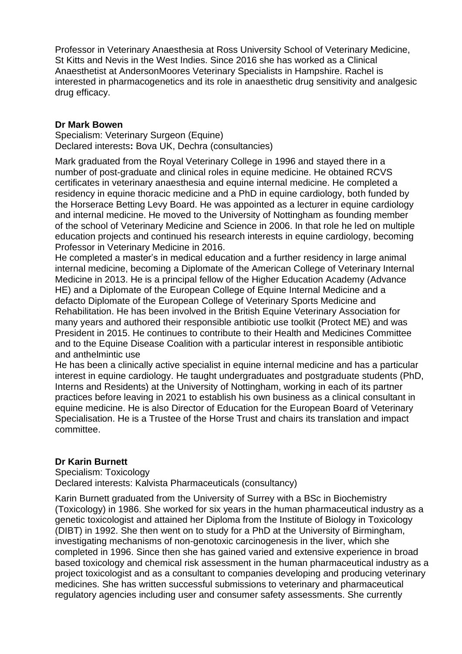Professor in Veterinary Anaesthesia at Ross University School of Veterinary Medicine, St Kitts and Nevis in the West Indies. Since 2016 she has worked as a Clinical Anaesthetist at AndersonMoores Veterinary Specialists in Hampshire. Rachel is interested in pharmacogenetics and its role in anaesthetic drug sensitivity and analgesic drug efficacy.

### **Dr Mark Bowen**

Specialism: Veterinary Surgeon (Equine) Declared interests**:** Bova UK, Dechra (consultancies)

Mark graduated from the Royal Veterinary College in 1996 and stayed there in a number of post-graduate and clinical roles in equine medicine. He obtained RCVS certificates in veterinary anaesthesia and equine internal medicine. He completed a residency in equine thoracic medicine and a PhD in equine cardiology, both funded by the Horserace Betting Levy Board. He was appointed as a lecturer in equine cardiology and internal medicine. He moved to the University of Nottingham as founding member of the school of Veterinary Medicine and Science in 2006. In that role he led on multiple education projects and continued his research interests in equine cardiology, becoming Professor in Veterinary Medicine in 2016.

He completed a master's in medical education and a further residency in large animal internal medicine, becoming a Diplomate of the American College of Veterinary Internal Medicine in 2013. He is a principal fellow of the Higher Education Academy (Advance HE) and a Diplomate of the European College of Equine Internal Medicine and a defacto Diplomate of the European College of Veterinary Sports Medicine and Rehabilitation. He has been involved in the British Equine Veterinary Association for many years and authored their responsible antibiotic use toolkit (Protect ME) and was President in 2015. He continues to contribute to their Health and Medicines Committee and to the Equine Disease Coalition with a particular interest in responsible antibiotic and anthelmintic use

He has been a clinically active specialist in equine internal medicine and has a particular interest in equine cardiology. He taught undergraduates and postgraduate students (PhD, Interns and Residents) at the University of Nottingham, working in each of its partner practices before leaving in 2021 to establish his own business as a clinical consultant in equine medicine. He is also Director of Education for the European Board of Veterinary Specialisation. He is a Trustee of the Horse Trust and chairs its translation and impact committee.

# **Dr Karin Burnett**

Specialism: Toxicology Declared interests: Kalvista Pharmaceuticals (consultancy)

Karin Burnett graduated from the University of Surrey with a BSc in Biochemistry (Toxicology) in 1986. She worked for six years in the human pharmaceutical industry as a genetic toxicologist and attained her Diploma from the Institute of Biology in Toxicology (DIBT) in 1992. She then went on to study for a PhD at the University of Birmingham, investigating mechanisms of non-genotoxic carcinogenesis in the liver, which she completed in 1996. Since then she has gained varied and extensive experience in broad based toxicology and chemical risk assessment in the human pharmaceutical industry as a project toxicologist and as a consultant to companies developing and producing veterinary medicines. She has written successful submissions to veterinary and pharmaceutical regulatory agencies including user and consumer safety assessments. She currently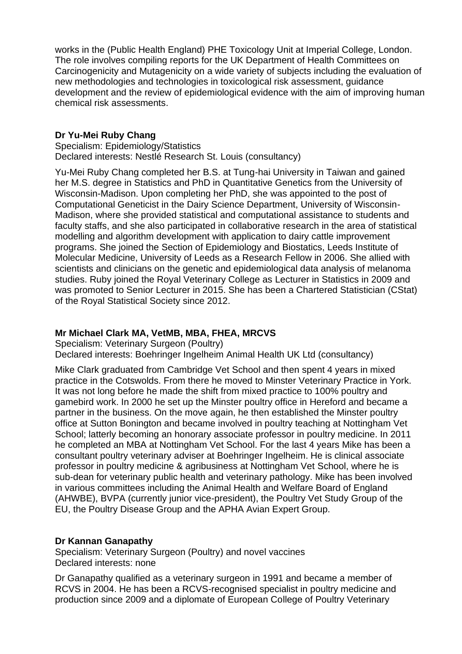works in the (Public Health England) PHE Toxicology Unit at Imperial College, London. The role involves compiling reports for the UK Department of Health Committees on Carcinogenicity and Mutagenicity on a wide variety of subjects including the evaluation of new methodologies and technologies in toxicological risk assessment, guidance development and the review of epidemiological evidence with the aim of improving human chemical risk assessments.

### **Dr Yu-Mei Ruby Chang**

Specialism: Epidemiology/Statistics Declared interests: Nestlé Research St. Louis (consultancy)

Yu-Mei Ruby Chang completed her B.S. at Tung-hai University in Taiwan and gained her M.S. degree in Statistics and PhD in Quantitative Genetics from the University of Wisconsin-Madison. Upon completing her PhD, she was appointed to the post of Computational Geneticist in the Dairy Science Department, University of Wisconsin-Madison, where she provided statistical and computational assistance to students and faculty staffs, and she also participated in collaborative research in the area of statistical modelling and algorithm development with application to dairy cattle improvement programs. She joined the Section of Epidemiology and Biostatics, Leeds Institute of Molecular Medicine, University of Leeds as a Research Fellow in 2006. She allied with scientists and clinicians on the genetic and epidemiological data analysis of melanoma studies. Ruby joined the Royal Veterinary College as Lecturer in Statistics in 2009 and was promoted to Senior Lecturer in 2015. She has been a Chartered Statistician (CStat) of the Royal Statistical Society since 2012.

# **Mr Michael Clark MA, VetMB, MBA, FHEA, MRCVS**

Specialism: Veterinary Surgeon (Poultry) Declared interests: Boehringer Ingelheim Animal Health UK Ltd (consultancy)

Mike Clark graduated from Cambridge Vet School and then spent 4 years in mixed practice in the Cotswolds. From there he moved to Minster Veterinary Practice in York. It was not long before he made the shift from mixed practice to 100% poultry and gamebird work. In 2000 he set up the Minster poultry office in Hereford and became a partner in the business. On the move again, he then established the Minster poultry office at Sutton Bonington and became involved in poultry teaching at Nottingham Vet School; latterly becoming an honorary associate professor in poultry medicine. In 2011 he completed an MBA at Nottingham Vet School. For the last 4 years Mike has been a consultant poultry veterinary adviser at Boehringer Ingelheim. He is clinical associate professor in poultry medicine & agribusiness at Nottingham Vet School, where he is sub-dean for veterinary public health and veterinary pathology. Mike has been involved in various committees including the Animal Health and Welfare Board of England (AHWBE), BVPA (currently junior vice-president), the Poultry Vet Study Group of the EU, the Poultry Disease Group and the APHA Avian Expert Group.

#### **Dr Kannan Ganapathy**

Specialism: Veterinary Surgeon (Poultry) and novel vaccines Declared interests: none

Dr Ganapathy qualified as a veterinary surgeon in 1991 and became a member of RCVS in 2004. He has been a RCVS-recognised specialist in poultry medicine and production since 2009 and a diplomate of European College of Poultry Veterinary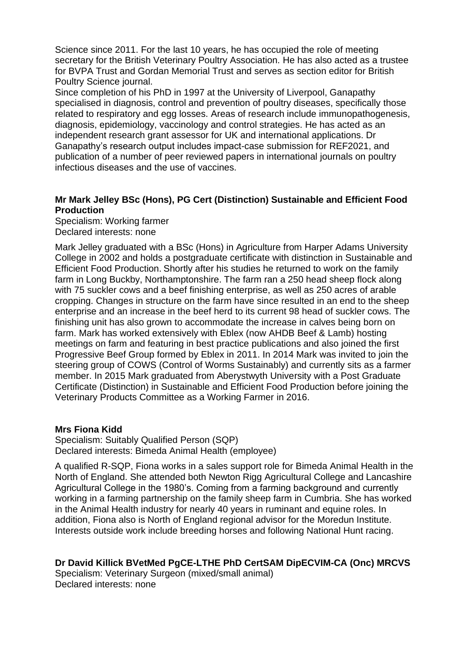Science since 2011. For the last 10 years, he has occupied the role of meeting secretary for the British Veterinary Poultry Association. He has also acted as a trustee for BVPA Trust and Gordan Memorial Trust and serves as section editor for British Poultry Science journal.

Since completion of his PhD in 1997 at the University of Liverpool, Ganapathy specialised in diagnosis, control and prevention of poultry diseases, specifically those related to respiratory and egg losses. Areas of research include immunopathogenesis, diagnosis, epidemiology, vaccinology and control strategies. He has acted as an independent research grant assessor for UK and international applications. Dr Ganapathy's research output includes impact-case submission for REF2021, and publication of a number of peer reviewed papers in international journals on poultry infectious diseases and the use of vaccines.

# **Mr Mark Jelley BSc (Hons), PG Cert (Distinction) Sustainable and Efficient Food Production**

Specialism: Working farmer Declared interests: none

Mark Jelley graduated with a BSc (Hons) in Agriculture from Harper Adams University College in 2002 and holds a postgraduate certificate with distinction in Sustainable and Efficient Food Production. Shortly after his studies he returned to work on the family farm in Long Buckby, Northamptonshire. The farm ran a 250 head sheep flock along with 75 suckler cows and a beef finishing enterprise, as well as 250 acres of arable cropping. Changes in structure on the farm have since resulted in an end to the sheep enterprise and an increase in the beef herd to its current 98 head of suckler cows. The finishing unit has also grown to accommodate the increase in calves being born on farm. Mark has worked extensively with Eblex (now AHDB Beef & Lamb) hosting meetings on farm and featuring in best practice publications and also joined the first Progressive Beef Group formed by Eblex in 2011. In 2014 Mark was invited to join the steering group of COWS (Control of Worms Sustainably) and currently sits as a farmer member. In 2015 Mark graduated from Aberystwyth University with a Post Graduate Certificate (Distinction) in Sustainable and Efficient Food Production before joining the Veterinary Products Committee as a Working Farmer in 2016.

#### **Mrs Fiona Kidd**

Specialism: Suitably Qualified Person (SQP) Declared interests: Bimeda Animal Health (employee)

A qualified R-SQP, Fiona works in a sales support role for Bimeda Animal Health in the North of England. She attended both Newton Rigg Agricultural College and Lancashire Agricultural College in the 1980's. Coming from a farming background and currently working in a farming partnership on the family sheep farm in Cumbria. She has worked in the Animal Health industry for nearly 40 years in ruminant and equine roles. In addition, Fiona also is North of England regional advisor for the Moredun Institute. Interests outside work include breeding horses and following National Hunt racing.

# **Dr David Killick BVetMed PgCE-LTHE PhD CertSAM DipECVIM-CA (Onc) MRCVS**

Specialism: Veterinary Surgeon (mixed/small animal) Declared interests: none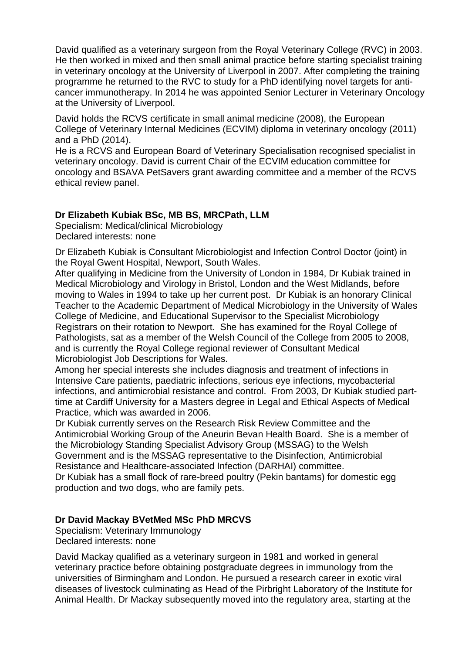David qualified as a veterinary surgeon from the Royal Veterinary College (RVC) in 2003. He then worked in mixed and then small animal practice before starting specialist training in veterinary oncology at the University of Liverpool in 2007. After completing the training programme he returned to the RVC to study for a PhD identifying novel targets for anticancer immunotherapy. In 2014 he was appointed Senior Lecturer in Veterinary Oncology at the University of Liverpool.

David holds the RCVS certificate in small animal medicine (2008), the European College of Veterinary Internal Medicines (ECVIM) diploma in veterinary oncology (2011) and a PhD (2014).

He is a RCVS and European Board of Veterinary Specialisation recognised specialist in veterinary oncology. David is current Chair of the ECVIM education committee for oncology and BSAVA PetSavers grant awarding committee and a member of the RCVS ethical review panel.

# **Dr Elizabeth Kubiak BSc, MB BS, MRCPath, LLM**

Specialism: Medical/clinical Microbiology Declared interests: none

Dr Elizabeth Kubiak is Consultant Microbiologist and Infection Control Doctor (joint) in the Royal Gwent Hospital, Newport, South Wales.

After qualifying in Medicine from the University of London in 1984, Dr Kubiak trained in Medical Microbiology and Virology in Bristol, London and the West Midlands, before moving to Wales in 1994 to take up her current post. Dr Kubiak is an honorary Clinical Teacher to the Academic Department of Medical Microbiology in the University of Wales College of Medicine, and Educational Supervisor to the Specialist Microbiology Registrars on their rotation to Newport. She has examined for the Royal College of Pathologists, sat as a member of the Welsh Council of the College from 2005 to 2008, and is currently the Royal College regional reviewer of Consultant Medical Microbiologist Job Descriptions for Wales.

Among her special interests she includes diagnosis and treatment of infections in Intensive Care patients, paediatric infections, serious eye infections, mycobacterial infections, and antimicrobial resistance and control. From 2003, Dr Kubiak studied parttime at Cardiff University for a Masters degree in Legal and Ethical Aspects of Medical Practice, which was awarded in 2006.

Dr Kubiak currently serves on the Research Risk Review Committee and the Antimicrobial Working Group of the Aneurin Bevan Health Board. She is a member of the Microbiology Standing Specialist Advisory Group (MSSAG) to the Welsh Government and is the MSSAG representative to the Disinfection, Antimicrobial Resistance and Healthcare-associated Infection (DARHAI) committee.

Dr Kubiak has a small flock of rare-breed poultry (Pekin bantams) for domestic egg production and two dogs, who are family pets.

# **Dr David Mackay BVetMed MSc PhD MRCVS**

Specialism: Veterinary Immunology Declared interests: none

David Mackay qualified as a veterinary surgeon in 1981 and worked in general veterinary practice before obtaining postgraduate degrees in immunology from the universities of Birmingham and London. He pursued a research career in exotic viral diseases of livestock culminating as Head of the Pirbright Laboratory of the Institute for Animal Health. Dr Mackay subsequently moved into the regulatory area, starting at the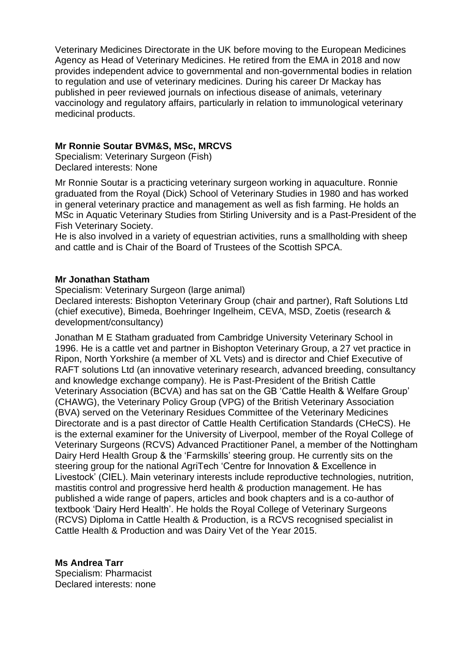Veterinary Medicines Directorate in the UK before moving to the European Medicines Agency as Head of Veterinary Medicines. He retired from the EMA in 2018 and now provides independent advice to governmental and non-governmental bodies in relation to regulation and use of veterinary medicines. During his career Dr Mackay has published in peer reviewed journals on infectious disease of animals, veterinary vaccinology and regulatory affairs, particularly in relation to immunological veterinary medicinal products.

### **Mr Ronnie Soutar BVM&S, MSc, MRCVS**

Specialism: Veterinary Surgeon (Fish) Declared interests: None

Mr Ronnie Soutar is a practicing veterinary surgeon working in aquaculture. Ronnie graduated from the Royal (Dick) School of Veterinary Studies in 1980 and has worked in general veterinary practice and management as well as fish farming. He holds an MSc in Aquatic Veterinary Studies from Stirling University and is a Past-President of the Fish Veterinary Society.

He is also involved in a variety of equestrian activities, runs a smallholding with sheep and cattle and is Chair of the Board of Trustees of the Scottish SPCA.

#### **Mr Jonathan Statham**

Specialism: Veterinary Surgeon (large animal)

Declared interests: Bishopton Veterinary Group (chair and partner), Raft Solutions Ltd (chief executive), Bimeda, Boehringer Ingelheim, CEVA, MSD, Zoetis (research & development/consultancy)

Jonathan M E Statham graduated from Cambridge University Veterinary School in 1996. He is a cattle vet and partner in Bishopton Veterinary Group, a 27 vet practice in Ripon, North Yorkshire (a member of XL Vets) and is director and Chief Executive of RAFT solutions Ltd (an innovative veterinary research, advanced breeding, consultancy and knowledge exchange company). He is Past-President of the British Cattle Veterinary Association (BCVA) and has sat on the GB 'Cattle Health & Welfare Group' (CHAWG), the Veterinary Policy Group (VPG) of the British Veterinary Association (BVA) served on the Veterinary Residues Committee of the Veterinary Medicines Directorate and is a past director of Cattle Health Certification Standards (CHeCS). He is the external examiner for the University of Liverpool, member of the Royal College of Veterinary Surgeons (RCVS) Advanced Practitioner Panel, a member of the Nottingham Dairy Herd Health Group & the 'Farmskills' steering group. He currently sits on the steering group for the national AgriTech 'Centre for Innovation & Excellence in Livestock' (CIEL). Main veterinary interests include reproductive technologies, nutrition, mastitis control and progressive herd health & production management. He has published a wide range of papers, articles and book chapters and is a co-author of textbook 'Dairy Herd Health'. He holds the Royal College of Veterinary Surgeons (RCVS) Diploma in Cattle Health & Production, is a RCVS recognised specialist in Cattle Health & Production and was Dairy Vet of the Year 2015.

**Ms Andrea Tarr** Specialism: Pharmacist Declared interests: none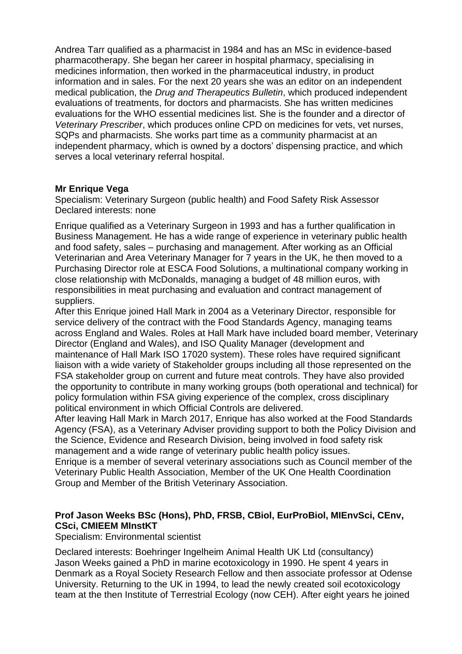Andrea Tarr qualified as a pharmacist in 1984 and has an MSc in evidence-based pharmacotherapy. She began her career in hospital pharmacy, specialising in medicines information, then worked in the pharmaceutical industry, in product information and in sales. For the next 20 years she was an editor on an independent medical publication, the *Drug and Therapeutics Bulletin*, which produced independent evaluations of treatments, for doctors and pharmacists. She has written medicines evaluations for the WHO essential medicines list. She is the founder and a director of *Veterinary Prescriber*, which produces online CPD on medicines for vets, vet nurses, SQPs and pharmacists. She works part time as a community pharmacist at an independent pharmacy, which is owned by a doctors' dispensing practice, and which serves a local veterinary referral hospital.

### **Mr Enrique Vega**

Specialism: Veterinary Surgeon (public health) and Food Safety Risk Assessor Declared interests: none

Enrique qualified as a Veterinary Surgeon in 1993 and has a further qualification in Business Management. He has a wide range of experience in veterinary public health and food safety, sales – purchasing and management. After working as an Official Veterinarian and Area Veterinary Manager for 7 years in the UK, he then moved to a Purchasing Director role at ESCA Food Solutions, a multinational company working in close relationship with McDonalds, managing a budget of 48 million euros, with responsibilities in meat purchasing and evaluation and contract management of suppliers.

After this Enrique joined Hall Mark in 2004 as a Veterinary Director, responsible for service delivery of the contract with the Food Standards Agency, managing teams across England and Wales. Roles at Hall Mark have included board member, Veterinary Director (England and Wales), and ISO Quality Manager (development and maintenance of Hall Mark ISO 17020 system). These roles have required significant liaison with a wide variety of Stakeholder groups including all those represented on the FSA stakeholder group on current and future meat controls. They have also provided the opportunity to contribute in many working groups (both operational and technical) for policy formulation within FSA giving experience of the complex, cross disciplinary political environment in which Official Controls are delivered.

After leaving Hall Mark in March 2017, Enrique has also worked at the Food Standards Agency (FSA), as a Veterinary Adviser providing support to both the Policy Division and the Science, Evidence and Research Division, being involved in food safety risk management and a wide range of veterinary public health policy issues.

Enrique is a member of several veterinary associations such as Council member of the Veterinary Public Health Association, Member of the UK One Health Coordination Group and Member of the British Veterinary Association.

# **Prof Jason Weeks BSc (Hons), PhD, FRSB, CBiol, EurProBiol, MIEnvSci, CEnv, CSci, CMIEEM MInstKT**

Specialism: Environmental scientist

Declared interests: Boehringer Ingelheim Animal Health UK Ltd (consultancy) Jason Weeks gained a PhD in marine ecotoxicology in 1990. He spent 4 years in Denmark as a Royal Society Research Fellow and then associate professor at Odense University. Returning to the UK in 1994, to lead the newly created soil ecotoxicology team at the then Institute of Terrestrial Ecology (now CEH). After eight years he joined